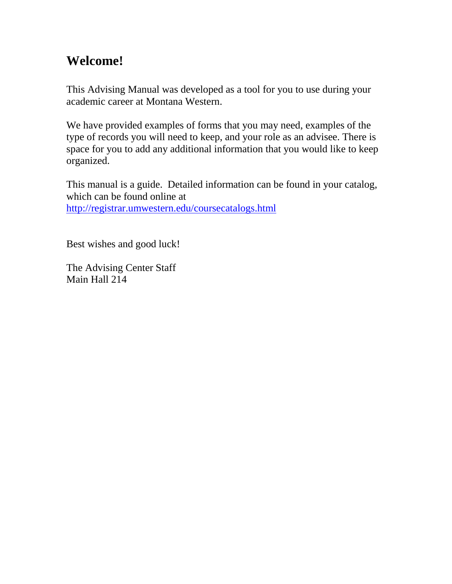## **Welcome!**

This Advising Manual was developed as a tool for you to use during your academic career at Montana Western.

We have provided examples of forms that you may need, examples of the type of records you will need to keep, and your role as an advisee. There is space for you to add any additional information that you would like to keep organized.

This manual is a guide. Detailed information can be found in your catalog, which can be found online at <http://registrar.umwestern.edu/coursecatalogs.html>

Best wishes and good luck!

The Advising Center Staff Main Hall 214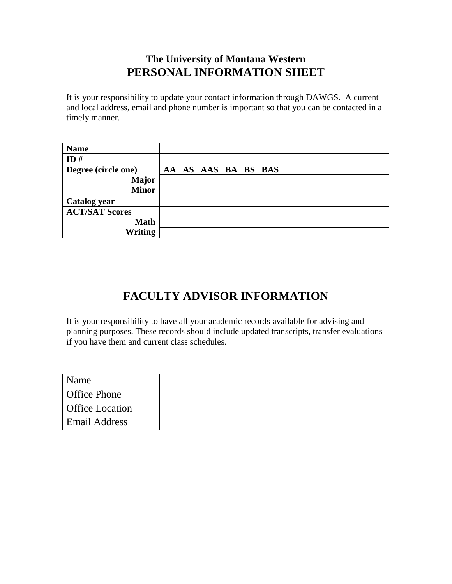## **The University of Montana Western PERSONAL INFORMATION SHEET**

It is your responsibility to update your contact information through DAWGS. A current and local address, email and phone number is important so that you can be contacted in a timely manner.

| <b>Name</b>           |                     |
|-----------------------|---------------------|
| ID#                   |                     |
| Degree (circle one)   | AA AS AAS BA BS BAS |
| <b>Major</b>          |                     |
| <b>Minor</b>          |                     |
| <b>Catalog year</b>   |                     |
| <b>ACT/SAT Scores</b> |                     |
| <b>Math</b>           |                     |
| <b>Writing</b>        |                     |

## **FACULTY ADVISOR INFORMATION**

It is your responsibility to have all your academic records available for advising and planning purposes. These records should include updated transcripts, transfer evaluations if you have them and current class schedules.

| Name                   |  |
|------------------------|--|
| <b>Office Phone</b>    |  |
| <b>Office Location</b> |  |
| <b>Email Address</b>   |  |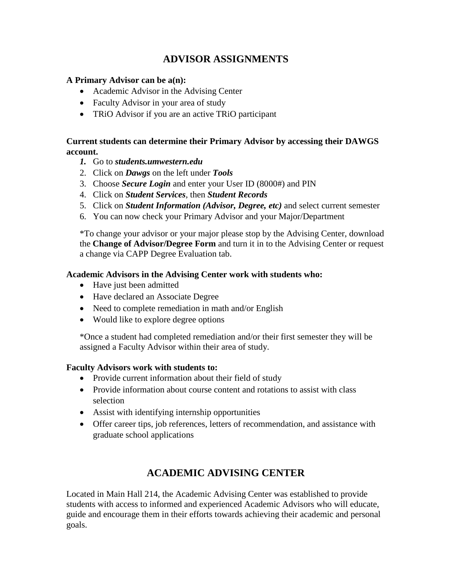## **ADVISOR ASSIGNMENTS**

## **A Primary Advisor can be a(n):**

- Academic Advisor in the Advising Center
- Faculty Advisor in your area of study
- TRiO Advisor if you are an active TRiO participant

## **Current students can determine their Primary Advisor by accessing their DAWGS account.**

- *1.* Go to *students.umwestern.edu*
- 2. Click on *Dawgs* on the left under *Tools*
- 3. Choose *Secure Login* and enter your User ID (8000#) and PIN
- 4. Click on *Student Services*, then *Student Records*
- 5. Click on *Student Information (Advisor, Degree, etc)* and select current semester
- 6. You can now check your Primary Advisor and your Major/Department

\*To change your advisor or your major please stop by the Advising Center, download the **Change of Advisor/Degree Form** and turn it in to the Advising Center or request a change via CAPP Degree Evaluation tab.

## **Academic Advisors in the Advising Center work with students who:**

- Have just been admitted
- Have declared an Associate Degree
- Need to complete remediation in math and/or English
- Would like to explore degree options

\*Once a student had completed remediation and/or their first semester they will be assigned a Faculty Advisor within their area of study.

## **Faculty Advisors work with students to:**

- Provide current information about their field of study
- Provide information about course content and rotations to assist with class selection
- Assist with identifying internship opportunities
- Offer career tips, job references, letters of recommendation, and assistance with graduate school applications

## **ACADEMIC ADVISING CENTER**

Located in Main Hall 214, the Academic Advising Center was established to provide students with access to informed and experienced Academic Advisors who will educate, guide and encourage them in their efforts towards achieving their academic and personal goals.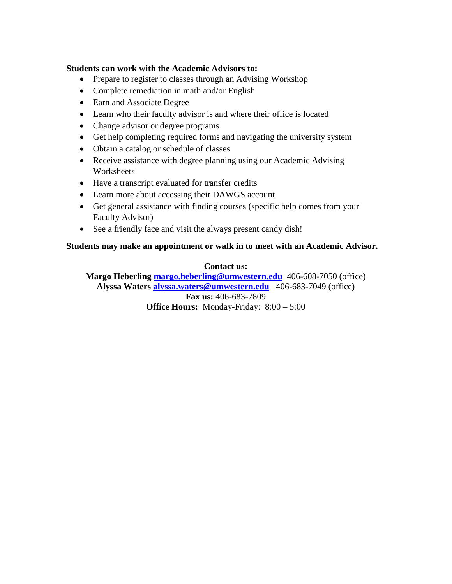## **Students can work with the Academic Advisors to:**

- Prepare to register to classes through an Advising Workshop
- Complete remediation in math and/or English
- Earn and Associate Degree
- Learn who their faculty advisor is and where their office is located
- Change advisor or degree programs
- Get help completing required forms and navigating the university system
- Obtain a catalog or schedule of classes
- Receive assistance with degree planning using our Academic Advising **Worksheets**
- Have a transcript evaluated for transfer credits
- Learn more about accessing their DAWGS account
- Get general assistance with finding courses (specific help comes from your Faculty Advisor)
- See a friendly face and visit the always present candy dish!

## **Students may make an appointment or walk in to meet with an Academic Advisor.**

## **Contact us:**

**Margo Heberling [margo.heberling@umwestern.edu](mailto:margo.heberling@umwestern.edu)** 406-608-7050 (office) **Alyssa Waters [alyssa.waters@umwestern.edu](mailto:alyssa.waters@umwestern.edu)** 406-683-7049 (office) **Fax us:** 406-683-7809 **Office Hours:** Monday-Friday:  $8:00 - 5:00$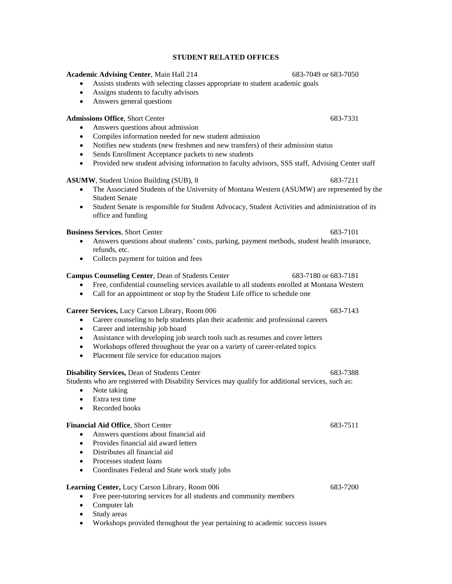### **STUDENT RELATED OFFICES**

**Academic Advising Center**, Main Hall 214 683-7049 or 683-7050

• Assists students with selecting classes appropriate to student academic goals

- Assigns students to faculty advisors
- Answers general questions

### **Admissions Office**, Short Center 683-7331

- Answers questions about admission
- Compiles information needed for new student admission
- Notifies new students (new freshmen and new transfers) of their admission status
- Sends Enrollment Acceptance packets to new students
- Provided new student advising information to faculty advisors, SSS staff, Advising Center staff

### **ASUMW**, Student Union Building (SUB), 8 683-7211

- The Associated Students of the University of Montana Western (ASUMW) are represented by the Student Senate
- Student Senate is responsible for Student Advocacy, Student Activities and administration of its office and funding

### **Business Services**, Short Center 683-7101

- Answers questions about students' costs, parking, payment methods, student health insurance, refunds, etc.
- Collects payment for tuition and fees

### **Campus Counseling Center**, Dean of Students Center 683-7180 or 683-7181

- Free, confidential counseling services available to all students enrolled at Montana Western
- Call for an appointment or stop by the Student Life office to schedule one

### **Career Services,** Lucy Carson Library, Room 006 683-7143

- Career counseling to help students plan their academic and professional careers
- Career and internship job board
- Assistance with developing job search tools such as resumes and cover letters
- Workshops offered throughout the year on a variety of career-related topics
- Placement file service for education majors

### **Disability Services, Dean of Students Center 683-7388** 683-7388

Students who are registered with Disability Services may qualify for additional services, such as:

- Note taking
- Extra test time
- Recorded books

### **Financial Aid Office**, Short Center 683-7511

- Answers questions about financial aid
- Provides financial aid award letters
- Distributes all financial aid
- Processes student loans
- Coordinates Federal and State work study jobs

### **Learning Center,** Lucy Carson Library, Room 006 683-7200

- Free peer-tutoring services for all students and community members
- Computer lab
- Study areas
- Workshops provided throughout the year pertaining to academic success issues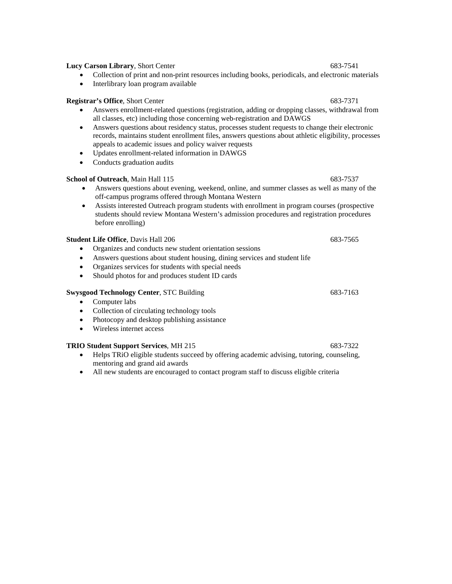## **Lucy Carson Library**, Short Center 683-7541

- Collection of print and non-print resources including books, periodicals, and electronic materials
- Interlibrary loan program available

## **Registrar's Office**, Short Center 683-7371

- Answers enrollment-related questions (registration, adding or dropping classes, withdrawal from all classes, etc) including those concerning web-registration and DAWGS
- Answers questions about residency status, processes student requests to change their electronic records, maintains student enrollment files, answers questions about athletic eligibility, processes appeals to academic issues and policy waiver requests
- Updates enrollment-related information in DAWGS
- Conducts graduation audits

## **School of Outreach**, Main Hall 115 683-7537

- Answers questions about evening, weekend, online, and summer classes as well as many of the off-campus programs offered through Montana Western
- Assists interested Outreach program students with enrollment in program courses (prospective students should review Montana Western's admission procedures and registration procedures before enrolling)

## **Student Life Office**, Davis Hall 206 683-7565

- Organizes and conducts new student orientation sessions
- Answers questions about student housing, dining services and student life
- Organizes services for students with special needs
- Should photos for and produces student ID cards

## **Swysgood Technology Center**, STC Building 683-7163

- Computer labs
- Collection of circulating technology tools
- Photocopy and desktop publishing assistance
- Wireless internet access

## **TRIO Student Support Services, MH 215 683-7322**

- Helps TRiO eligible students succeed by offering academic advising, tutoring, counseling, mentoring and grand aid awards
- All new students are encouraged to contact program staff to discuss eligible criteria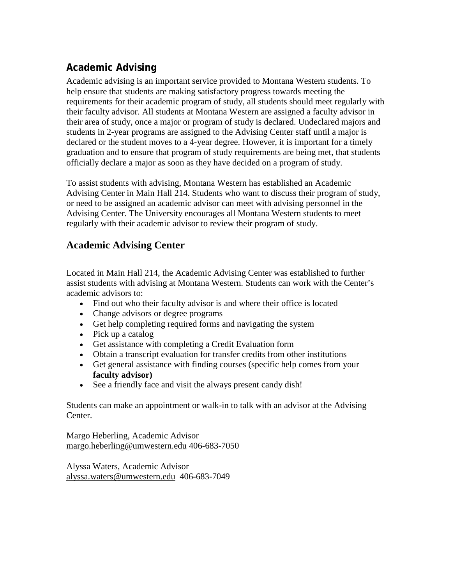## **Academic Advising**

Academic advising is an important service provided to Montana Western students. To help ensure that students are making satisfactory progress towards meeting the requirements for their academic program of study, all students should meet regularly with their faculty advisor. All students at Montana Western are assigned a faculty advisor in their area of study, once a major or program of study is declared. Undeclared majors and students in 2-year programs are assigned to the Advising Center staff until a major is declared or the student moves to a 4-year degree. However, it is important for a timely graduation and to ensure that program of study requirements are being met, that students officially declare a major as soon as they have decided on a program of study.

To assist students with advising, Montana Western has established an Academic Advising Center in Main Hall 214. Students who want to discuss their program of study, or need to be assigned an academic advisor can meet with advising personnel in the Advising Center. The University encourages all Montana Western students to meet regularly with their academic advisor to review their program of study.

## **Academic Advising Center**

Located in Main Hall 214, the Academic Advising Center was established to further assist students with advising at Montana Western. Students can work with the Center's academic advisors to:

- Find out who their faculty advisor is and where their office is located
- Change advisors or degree programs
- Get help completing required forms and navigating the system
- Pick up a catalog
- Get assistance with completing a Credit Evaluation form
- Obtain a transcript evaluation for transfer credits from other institutions
- Get general assistance with finding courses (specific help comes from your **faculty advisor)**
- See a friendly face and visit the always present candy dish!

Students can make an appointment or walk-in to talk with an advisor at the Advising Center.

Margo Heberling, Academic Advisor [margo.heberling@umwestern.edu](mailto:margo.heberling@umwestern.edu) 406-683-7050

Alyssa Waters, Academic Advisor [alyssa.waters@umwestern.edu](mailto:alyssa.waters@umwestern.edu) 406-683-7049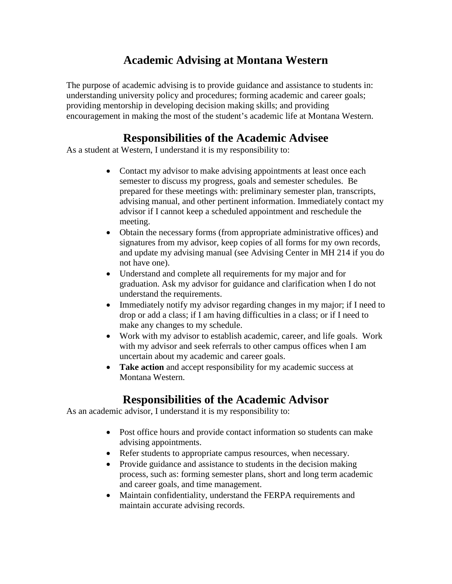## **Academic Advising at Montana Western**

The purpose of academic advising is to provide guidance and assistance to students in: understanding university policy and procedures; forming academic and career goals; providing mentorship in developing decision making skills; and providing encouragement in making the most of the student's academic life at Montana Western.

## **Responsibilities of the Academic Advisee**

As a student at Western, I understand it is my responsibility to:

- Contact my advisor to make advising appointments at least once each semester to discuss my progress, goals and semester schedules. Be prepared for these meetings with: preliminary semester plan, transcripts, advising manual, and other pertinent information. Immediately contact my advisor if I cannot keep a scheduled appointment and reschedule the meeting.
- Obtain the necessary forms (from appropriate administrative offices) and signatures from my advisor, keep copies of all forms for my own records, and update my advising manual (see Advising Center in MH 214 if you do not have one).
- Understand and complete all requirements for my major and for graduation. Ask my advisor for guidance and clarification when I do not understand the requirements.
- Immediately notify my advisor regarding changes in my major; if I need to drop or add a class; if I am having difficulties in a class; or if I need to make any changes to my schedule.
- Work with my advisor to establish academic, career, and life goals. Work with my advisor and seek referrals to other campus offices when I am uncertain about my academic and career goals.
- **Take action** and accept responsibility for my academic success at Montana Western.

## **Responsibilities of the Academic Advisor**

As an academic advisor, I understand it is my responsibility to:

- Post office hours and provide contact information so students can make advising appointments.
- Refer students to appropriate campus resources, when necessary.
- Provide guidance and assistance to students in the decision making process, such as: forming semester plans, short and long term academic and career goals, and time management.
- Maintain confidentiality, understand the FERPA requirements and maintain accurate advising records.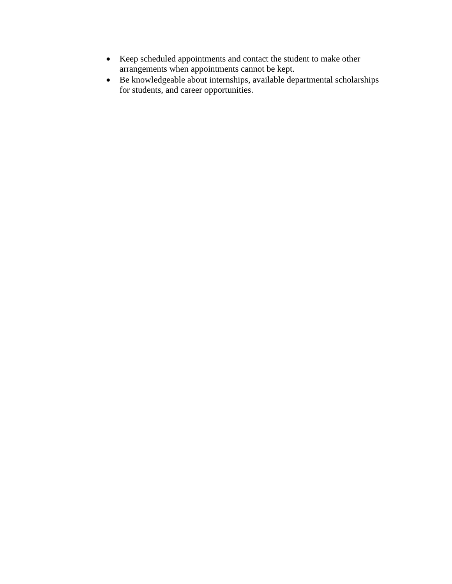- Keep scheduled appointments and contact the student to make other arrangements when appointments cannot be kept.
- Be knowledgeable about internships, available departmental scholarships for students, and career opportunities.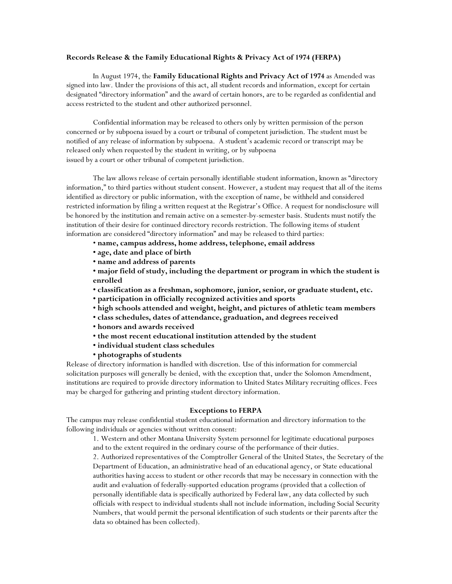### **Records Release & the Family Educational Rights & Privacy Act of 1974 (FERPA)**

In August 1974, the **Family Educational Rights and Privacy Act of 1974** as Amended was signed into law. Under the provisions of this act, all student records and information, except for certain designated "directory information" and the award of certain honors, are to be regarded as confidential and access restricted to the student and other authorized personnel.

Confidential information may be released to others only by written permission of the person concerned or by subpoena issued by a court or tribunal of competent jurisdiction. The student must be notified of any release of information by subpoena. A student's academic record or transcript may be released only when requested by the student in writing, or by subpoena issued by a court or other tribunal of competent jurisdiction.

The law allows release of certain personally identifiable student information, known as "directory information," to third parties without student consent. However, a student may request that all of the items identified as directory or public information, with the exception of name, be withheld and considered restricted information by filing a written request at the Registrar's Office. A request for nondisclosure will be honored by the institution and remain active on a semester-by-semester basis. Students must notify the institution of their desire for continued directory records restriction. The following items of student information are considered "directory information" and may be released to third parties:

- **name, campus address, home address, telephone, email address**
- **age, date and place of birth**
- **name and address of parents**

**• major field of study, including the department or program in which the student is enrolled**

- **classification as a freshman, sophomore, junior, senior, or graduate student, etc.**
- **participation in officially recognized activities and sports**
- **high schools attended and weight, height, and pictures of athletic team members**
- **class schedules, dates of attendance, graduation, and degrees received**
- **honors and awards received**
- **the most recent educational institution attended by the student**
- **individual student class schedules**
- **photographs of students**

Release of directory information is handled with discretion. Use of this information for commercial solicitation purposes will generally be denied, with the exception that, under the Solomon Amendment, institutions are required to provide directory information to United States Military recruiting offices. Fees may be charged for gathering and printing student directory information.

### **Exceptions to FERPA**

The campus may release confidential student educational information and directory information to the following individuals or agencies without written consent:

1. Western and other Montana University System personnel for legitimate educational purposes and to the extent required in the ordinary course of the performance of their duties.

2. Authorized representatives of the Comptroller General of the United States, the Secretary of the Department of Education, an administrative head of an educational agency, or State educational authorities having access to student or other records that may be necessary in connection with the audit and evaluation of federally-supported education programs (provided that a collection of personally identifiable data is specifically authorized by Federal law, any data collected by such officials with respect to individual students shall not include information, including Social Security Numbers, that would permit the personal identification of such students or their parents after the data so obtained has been collected).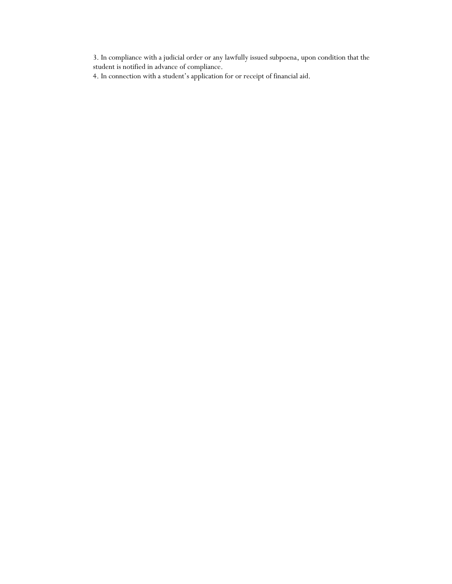3. In compliance with a judicial order or any lawfully issued subpoena, upon condition that the student is notified in advance of compliance.

4. In connection with a student's application for or receipt of financial aid.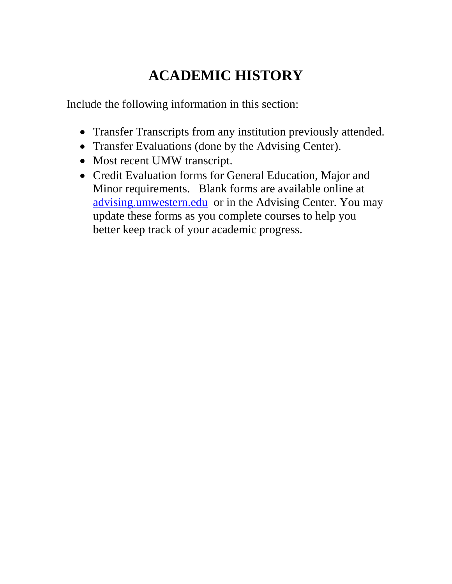# **ACADEMIC HISTORY**

Include the following information in this section:

- Transfer Transcripts from any institution previously attended.
- Transfer Evaluations (done by the Advising Center).
- Most recent UMW transcript.
- Credit Evaluation forms for General Education, Major and Minor requirements. Blank forms are available online at [advising.umwestern.edu](http://my.umwestern.edu/studentsuccess/advising) or in the Advising Center. You may update these forms as you complete courses to help you better keep track of your academic progress.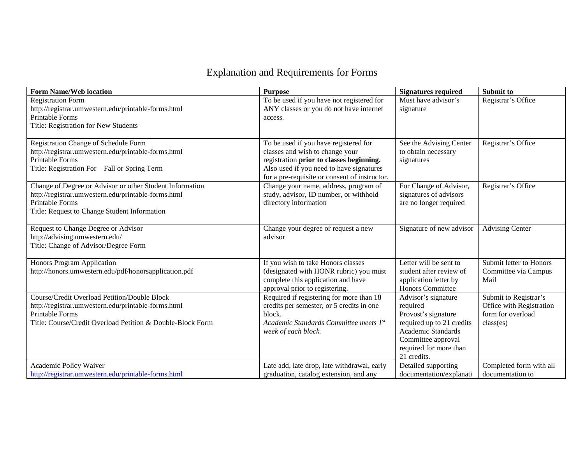## Explanation and Requirements for Forms

| <b>Form Name/Web location</b>                                          | <b>Purpose</b>                                | <b>Signatures required</b> | Submit to                |
|------------------------------------------------------------------------|-----------------------------------------------|----------------------------|--------------------------|
| <b>Registration Form</b>                                               | To be used if you have not registered for     | Must have advisor's        | Registrar's Office       |
| http://registrar.umwestern.edu/printable-forms.html                    | ANY classes or you do not have internet       | signature                  |                          |
| Printable Forms                                                        | access.                                       |                            |                          |
| Title: Registration for New Students                                   |                                               |                            |                          |
|                                                                        |                                               |                            |                          |
| Registration Change of Schedule Form                                   | To be used if you have registered for         | See the Advising Center    | Registrar's Office       |
| http://registrar.umwestern.edu/printable-forms.html                    | classes and wish to change your               | to obtain necessary        |                          |
| Printable Forms                                                        | registration prior to classes beginning.      | signatures                 |                          |
| Title: Registration For - Fall or Spring Term                          | Also used if you need to have signatures      |                            |                          |
|                                                                        | for a pre-requisite or consent of instructor. |                            |                          |
| Change of Degree or Advisor or other Student Information               | Change your name, address, program of         | For Change of Advisor,     | Registrar's Office       |
| http://registrar.umwestern.edu/printable-forms.html<br>Printable Forms | study, advisor, ID number, or withhold        | signatures of advisors     |                          |
| Title: Request to Change Student Information                           | directory information                         | are no longer required     |                          |
|                                                                        |                                               |                            |                          |
| Request to Change Degree or Advisor                                    | Change your degree or request a new           | Signature of new advisor   | <b>Advising Center</b>   |
| http://advising.umwestern.edu/                                         | advisor                                       |                            |                          |
| Title: Change of Advisor/Degree Form                                   |                                               |                            |                          |
|                                                                        |                                               |                            |                          |
| <b>Honors Program Application</b>                                      | If you wish to take Honors classes            | Letter will be sent to     | Submit letter to Honors  |
| http://honors.umwestern.edu/pdf/honorsapplication.pdf                  | (designated with HONR rubric) you must        | student after review of    | Committee via Campus     |
|                                                                        | complete this application and have            | application letter by      | Mail                     |
|                                                                        | approval prior to registering.                | Honors Committee           |                          |
| <b>Course/Credit Overload Petition/Double Block</b>                    | Required if registering for more than 18      | Advisor's signature        | Submit to Registrar's    |
| http://registrar.umwestern.edu/printable-forms.html                    | credits per semester, or 5 credits in one     | required                   | Office with Registration |
| Printable Forms                                                        | block.                                        | Provost's signature        | form for overload        |
| Title: Course/Credit Overload Petition & Double-Block Form             | Academic Standards Committee meets 1st        | required up to 21 credits  | class(es)                |
|                                                                        | week of each block.                           | Academic Standards         |                          |
|                                                                        |                                               | Committee approval         |                          |
|                                                                        |                                               | required for more than     |                          |
|                                                                        |                                               | 21 credits.                |                          |
| Academic Policy Waiver                                                 | Late add, late drop, late withdrawal, early   | Detailed supporting        | Completed form with all  |
| http://registrar.umwestern.edu/printable-forms.html                    | graduation, catalog extension, and any        | documentation/explanati    | documentation to         |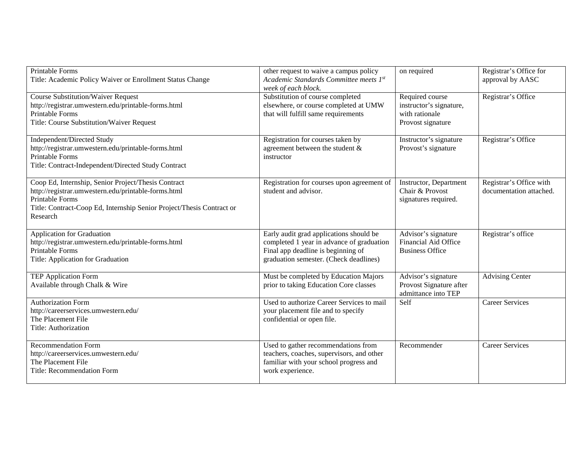| <b>Printable Forms</b><br>Title: Academic Policy Waiver or Enrollment Status Change                                                                                                                                | other request to waive a campus policy<br>Academic Standards Committee meets 1st<br>week of each block.                                                              | on required                                                                       | Registrar's Office for<br>approval by AASC         |
|--------------------------------------------------------------------------------------------------------------------------------------------------------------------------------------------------------------------|----------------------------------------------------------------------------------------------------------------------------------------------------------------------|-----------------------------------------------------------------------------------|----------------------------------------------------|
| <b>Course Substitution/Waiver Request</b><br>http://registrar.umwestern.edu/printable-forms.html<br><b>Printable Forms</b><br>Title: Course Substitution/Waiver Request                                            | Substitution of course completed<br>elsewhere, or course completed at UMW<br>that will fulfill same requirements                                                     | Required course<br>instructor's signature,<br>with rationale<br>Provost signature | Registrar's Office                                 |
| Independent/Directed Study<br>http://registrar.umwestern.edu/printable-forms.html<br>Printable Forms<br>Title: Contract-Independent/Directed Study Contract                                                        | Registration for courses taken by<br>agreement between the student $\&$<br>instructor                                                                                | Instructor's signature<br>Provost's signature                                     | Registrar's Office                                 |
| Coop Ed, Internship, Senior Project/Thesis Contract<br>http://registrar.umwestern.edu/printable-forms.html<br>Printable Forms<br>Title: Contract-Coop Ed, Internship Senior Project/Thesis Contract or<br>Research | Registration for courses upon agreement of<br>student and advisor.                                                                                                   | Instructor, Department<br>Chair & Provost<br>signatures required.                 | Registrar's Office with<br>documentation attached. |
| <b>Application for Graduation</b><br>http://registrar.umwestern.edu/printable-forms.html<br>Printable Forms<br>Title: Application for Graduation                                                                   | Early audit grad applications should be<br>completed 1 year in advance of graduation<br>Final app deadline is beginning of<br>graduation semester. (Check deadlines) | Advisor's signature<br>Financial Aid Office<br><b>Business Office</b>             | Registrar's office                                 |
| <b>TEP Application Form</b><br>Available through Chalk & Wire                                                                                                                                                      | Must be completed by Education Majors<br>prior to taking Education Core classes                                                                                      | Advisor's signature<br>Provost Signature after<br>admittance into TEP             | <b>Advising Center</b>                             |
| <b>Authorization Form</b><br>http://careerservices.umwestern.edu/<br>The Placement File<br>Title: Authorization                                                                                                    | Used to authorize Career Services to mail<br>your placement file and to specify<br>confidential or open file.                                                        | Self                                                                              | <b>Career Services</b>                             |
| <b>Recommendation Form</b><br>http://careerservices.umwestern.edu/<br>The Placement File<br>Title: Recommendation Form                                                                                             | Used to gather recommendations from<br>teachers, coaches, supervisors, and other<br>familiar with your school progress and<br>work experience.                       | Recommender                                                                       | <b>Career Services</b>                             |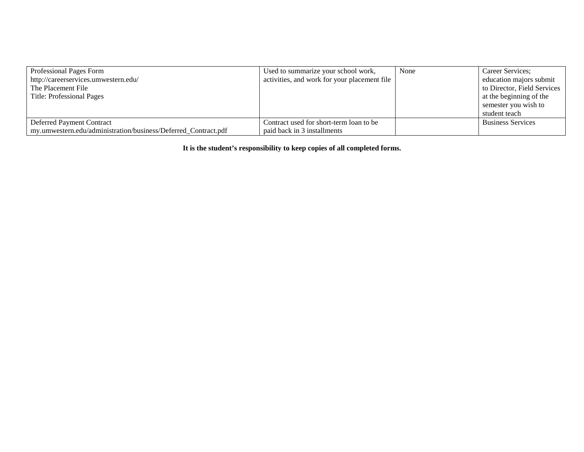| Professional Pages Form                                        | Used to summarize your school work,          | None | Career Services;            |
|----------------------------------------------------------------|----------------------------------------------|------|-----------------------------|
| http://careerservices.umwestern.edu/                           | activities, and work for your placement file |      | education majors submit     |
| The Placement File                                             |                                              |      | to Director, Field Services |
| Title: Professional Pages                                      |                                              |      | at the beginning of the     |
|                                                                |                                              |      | semester you wish to        |
|                                                                |                                              |      | student teach               |
| Deferred Payment Contract                                      | Contract used for short-term loan to be      |      | <b>Business Services</b>    |
| my.umwestern.edu/administration/business/Deferred Contract.pdf | paid back in 3 installments                  |      |                             |

**It is the student's responsibility to keep copies of all completed forms.**